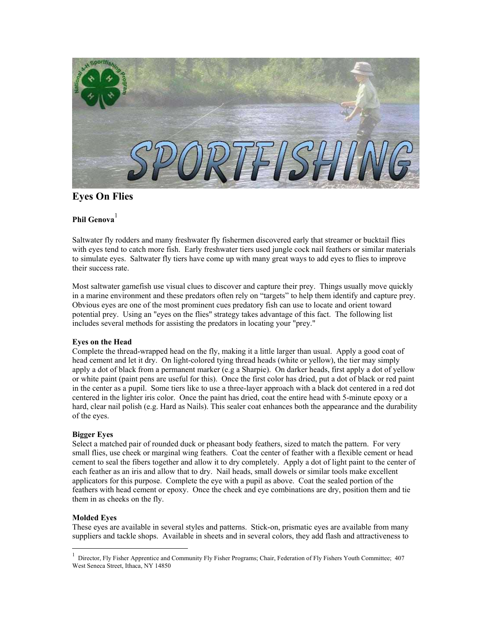

## **Eyes On Flies**

# **Phil Genova** [1](#page-0-0)

Saltwater fly rodders and many freshwater fly fishermen discovered early that streamer or bucktail flies with eyes tend to catch more fish. Early freshwater tiers used jungle cock nail feathers or similar materials to simulate eyes. Saltwater fly tiers have come up with many great ways to add eyes to flies to improve their success rate.

Most saltwater gamefish use visual clues to discover and capture their prey. Things usually move quickly in a marine environment and these predators often rely on "targets" to help them identify and capture prey. Obvious eyes are one of the most prominent cues predatory fish can use to locate and orient toward potential prey. Using an "eyes on the flies" strategy takes advantage of this fact. The following list includes several methods for assisting the predators in locating your "prey."

## **Eyes on the Head**

Complete the thread-wrapped head on the fly, making it a little larger than usual. Apply a good coat of head cement and let it dry. On light-colored tying thread heads (white or yellow), the tier may simply apply a dot of black from a permanent marker (e.g a Sharpie). On darker heads, first apply a dot of yellow or white paint (paint pens are useful for this). Once the first color has dried, put a dot of black or red paint in the center as a pupil. Some tiers like to use a three-layer approach with a black dot centered in a red dot centered in the lighter iris color. Once the paint has dried, coat the entire head with 5-minute epoxy or a hard, clear nail polish (e.g. Hard as Nails). This sealer coat enhances both the appearance and the durability of the eyes.

## **Bigger Eyes**

Select a matched pair of rounded duck or pheasant body feathers, sized to match the pattern. For very small flies, use cheek or marginal wing feathers. Coat the center of feather with a flexible cement or head cement to seal the fibers together and allow it to dry completely. Apply a dot of light paint to the center of each feather as an iris and allow that to dry. Nail heads, small dowels or similar tools make excellent applicators for this purpose. Complete the eye with a pupil as above. Coat the sealed portion of the feathers with head cement or epoxy. Once the cheek and eye combinations are dry, position them and tie them in as cheeks on the fly.

## **Molded Eyes**

 $\overline{a}$ 

These eyes are available in several styles and patterns. Stick-on, prismatic eyes are available from many suppliers and tackle shops. Available in sheets and in several colors, they add flash and attractiveness to

<span id="page-0-0"></span><sup>1</sup> Director, Fly Fisher Apprentice and Community Fly Fisher Programs; Chair, Federation of Fly Fishers Youth Committee; 407 West Seneca Street, Ithaca, NY 14850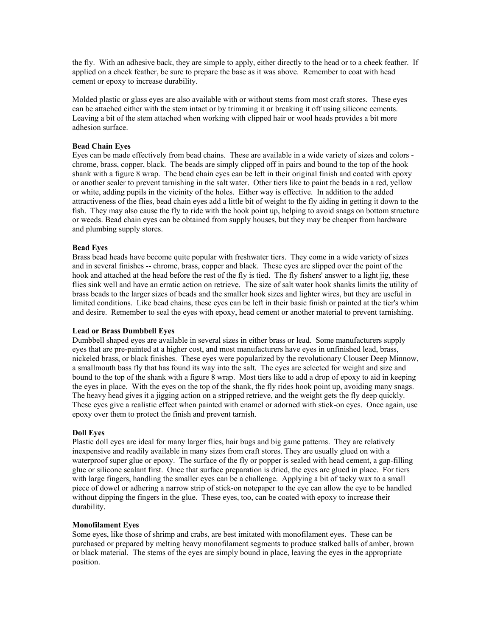the fly. With an adhesive back, they are simple to apply, either directly to the head or to a cheek feather. If applied on a cheek feather, be sure to prepare the base as it was above. Remember to coat with head cement or epoxy to increase durability.

Molded plastic or glass eyes are also available with or without stems from most craft stores. These eyes can be attached either with the stem intact or by trimming it or breaking it off using silicone cements. Leaving a bit of the stem attached when working with clipped hair or wool heads provides a bit more adhesion surface.

## **Bead Chain Eyes**

Eyes can be made effectively from bead chains. These are available in a wide variety of sizes and colors chrome, brass, copper, black. The beads are simply clipped off in pairs and bound to the top of the hook shank with a figure 8 wrap. The bead chain eyes can be left in their original finish and coated with epoxy or another sealer to prevent tarnishing in the salt water. Other tiers like to paint the beads in a red, yellow or white, adding pupils in the vicinity of the holes. Either way is effective. In addition to the added attractiveness of the flies, bead chain eyes add a little bit of weight to the fly aiding in getting it down to the fish. They may also cause the fly to ride with the hook point up, helping to avoid snags on bottom structure or weeds. Bead chain eyes can be obtained from supply houses, but they may be cheaper from hardware and plumbing supply stores.

## **Bead Eyes**

Brass bead heads have become quite popular with freshwater tiers. They come in a wide variety of sizes and in several finishes -- chrome, brass, copper and black. These eyes are slipped over the point of the hook and attached at the head before the rest of the fly is tied. The fly fishers' answer to a light jig, these flies sink well and have an erratic action on retrieve. The size of salt water hook shanks limits the utility of brass beads to the larger sizes of beads and the smaller hook sizes and lighter wires, but they are useful in limited conditions. Like bead chains, these eyes can be left in their basic finish or painted at the tier's whim and desire. Remember to seal the eyes with epoxy, head cement or another material to prevent tarnishing.

## **Lead or Brass Dumbbell Eyes**

Dumbbell shaped eyes are available in several sizes in either brass or lead. Some manufacturers supply eyes that are pre-painted at a higher cost, and most manufacturers have eyes in unfinished lead, brass, nickeled brass, or black finishes. These eyes were popularized by the revolutionary Clouser Deep Minnow, a smallmouth bass fly that has found its way into the salt. The eyes are selected for weight and size and bound to the top of the shank with a figure 8 wrap. Most tiers like to add a drop of epoxy to aid in keeping the eyes in place. With the eyes on the top of the shank, the fly rides hook point up, avoiding many snags. The heavy head gives it a jigging action on a stripped retrieve, and the weight gets the fly deep quickly. These eyes give a realistic effect when painted with enamel or adorned with stick-on eyes. Once again, use epoxy over them to protect the finish and prevent tarnish.

## **Doll Eyes**

Plastic doll eyes are ideal for many larger flies, hair bugs and big game patterns. They are relatively inexpensive and readily available in many sizes from craft stores. They are usually glued on with a waterproof super glue or epoxy. The surface of the fly or popper is sealed with head cement, a gap-filling glue or silicone sealant first. Once that surface preparation is dried, the eyes are glued in place. For tiers with large fingers, handling the smaller eyes can be a challenge. Applying a bit of tacky wax to a small piece of dowel or adhering a narrow strip of stick-on notepaper to the eye can allow the eye to be handled without dipping the fingers in the glue. These eyes, too, can be coated with epoxy to increase their durability.

## **Monofilament Eyes**

Some eyes, like those of shrimp and crabs, are best imitated with monofilament eyes. These can be purchased or prepared by melting heavy monofilament segments to produce stalked balls of amber, brown or black material. The stems of the eyes are simply bound in place, leaving the eyes in the appropriate position.